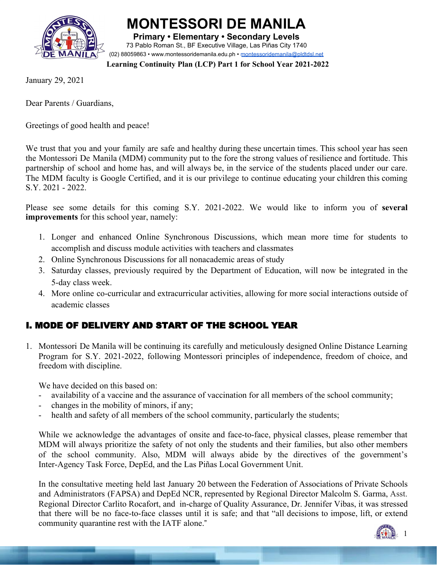

**MONTESSORI DE MANILA**

**Primary • Elementary • Secondary Levels** 73 Pablo Roman St., BF Executive Village, Las Piñas City 1740 (02) 88059863 • [www.montessoridemanila.edu.ph](http://www.montessoridemanila.edu.ph/) • [montessoridemanila@pldtdsl.net](mailto:montessoridemanila@pldtdsl.net)

**Learning Continuity Plan (LCP) Part 1 for School Year 2021-2022**

January 29, 2021

Dear Parents / Guardians,

Greetings of good health and peace!

We trust that you and your family are safe and healthy during these uncertain times. This school year has seen the Montessori De Manila (MDM) community put to the fore the strong values of resilience and fortitude. This partnership of school and home has, and will always be, in the service of the students placed under our care. The MDM faculty is Google Certified, and it is our privilege to continue educating your children this coming S.Y. 2021 - 2022.

Please see some details for this coming S.Y. 2021-2022. We would like to inform you of **several improvements** for this school year, namely:

- 1. Longer and enhanced Online Synchronous Discussions, which mean more time for students to accomplish and discuss module activities with teachers and classmates
- 2. Online Synchronous Discussions for all nonacademic areas of study
- 3. Saturday classes, previously required by the Department of Education, will now be integrated in the 5-day class week.
- 4. More online co-curricular and extracurricular activities, allowing for more social interactions outside of academic classes

# I. MODE OF DELIVERY AND START OF THE SCHOOL YEAR

1. Montessori De Manila will be continuing its carefully and meticulously designed Online Distance Learning Program for S.Y. 2021-2022, following Montessori principles of independence, freedom of choice, and freedom with discipline.

We have decided on this based on:

- availability of a vaccine and the assurance of vaccination for all members of the school community;
- changes in the mobility of minors, if any;
- health and safety of all members of the school community, particularly the students;

While we acknowledge the advantages of onsite and face-to-face, physical classes, please remember that MDM will always prioritize the safety of not only the students and their families, but also other members of the school community. Also, MDM will always abide by the directives of the government's Inter-Agency Task Force, DepEd, and the Las Piñas Local Government Unit.

In the consultative meeting held last January 20 between the Federation of Associations of Private Schools and Administrators (FAPSA) and DepEd NCR, represented by Regional Director Malcolm S. Garma, Asst. Regional Director Carlito Rocafort, and in-charge of Quality Assurance, Dr. Jennifer Vibas, it was stressed that there will be no face-to-face classes until it is safe; and that "all decisions to impose, lift, or extend community quarantine rest with the IATF alone."

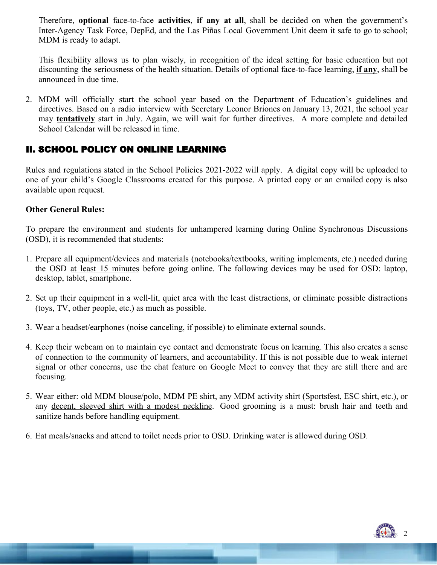Therefore, **optional** face-to-face **activities**, **if any at all**, shall be decided on when the government's Inter-Agency Task Force, DepEd, and the Las Piñas Local Government Unit deem it safe to go to school; MDM is ready to adapt.

This flexibility allows us to plan wisely, in recognition of the ideal setting for basic education but not discounting the seriousness of the health situation. Details of optional face-to-face learning, **if any**, shall be announced in due time.

2. MDM will officially start the school year based on the Department of Education's guidelines and directives. Based on a radio interview with Secretary Leonor Briones on January 13, 2021, the school year may **tentatively** start in July. Again, we will wait for further directives. A more complete and detailed School Calendar will be released in time.

# II. SCHOOL POLICY ON ONLINE LEARNING

Rules and regulations stated in the School Policies 2021-2022 will apply. A digital copy will be uploaded to one of your child's Google Classrooms created for this purpose. A printed copy or an emailed copy is also available upon request.

# **Other General Rules:**

To prepare the environment and students for unhampered learning during Online Synchronous Discussions (OSD), it is recommended that students:

- 1. Prepare all equipment/devices and materials (notebooks/textbooks, writing implements, etc.) needed during the OSD at least 15 minutes before going online. The following devices may be used for OSD: laptop, desktop, tablet, smartphone.
- 2. Set up their equipment in a well-lit, quiet area with the least distractions, or eliminate possible distractions (toys, TV, other people, etc.) as much as possible.
- 3. Wear a headset/earphones (noise canceling, if possible) to eliminate external sounds.
- 4. Keep their webcam on to maintain eye contact and demonstrate focus on learning. This also creates a sense of connection to the community of learners, and accountability. If this is not possible due to weak internet signal or other concerns, use the chat feature on Google Meet to convey that they are still there and are focusing.
- 5. Wear either: old MDM blouse/polo, MDM PE shirt, any MDM activity shirt (Sportsfest, ESC shirt, etc.), or any decent, sleeved shirt with a modest neckline. Good grooming is a must: brush hair and teeth and sanitize hands before handling equipment.
- 6. Eat meals/snacks and attend to toilet needs prior to OSD. Drinking water is allowed during OSD.

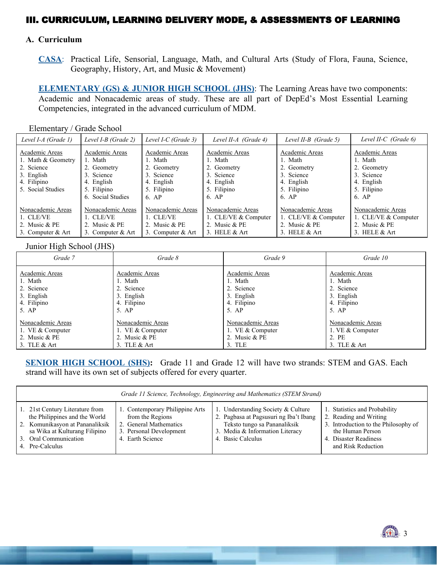# III. CURRICULUM, LEARNING DELIVERY MODE, & ASSESSMENTS OF LEARNING

#### **A. Curriculum**

 **CASA**: Practical Life, Sensorial, Language, Math, and Cultural Arts (Study of Flora, Fauna, Science, Geography, History, Art, and Music & Movement)

 **ELEMENTARY (GS) & JUNIOR HIGH SCHOOL (JHS)**: The Learning Areas have two components: Academic and Nonacademic areas of study. These are all part of DepEd's Most Essential Learning Competencies, integrated in the advanced curriculum of MDM.

Elementary / Grade School

| Level I-A (Grade 1)                                                                                  | Level I-B (Grade 2)                                                                                      | Level I-C (Grade 3)                                                                          | Level II-A (Grade 4)                                                                         | Level II-B (Grade 5)                                                                         | Level II-C (Grade 6)                                                                         |
|------------------------------------------------------------------------------------------------------|----------------------------------------------------------------------------------------------------------|----------------------------------------------------------------------------------------------|----------------------------------------------------------------------------------------------|----------------------------------------------------------------------------------------------|----------------------------------------------------------------------------------------------|
| Academic Areas<br>1. Math & Geometry<br>2. Science<br>3. English<br>4. Filipino<br>5. Social Studies | Academic Areas<br>1. Math<br>2. Geometry<br>3. Science<br>4. English<br>5. Filipino<br>6. Social Studies | Academic Areas<br>1. Math<br>2. Geometry<br>3. Science<br>4. English<br>5. Filipino<br>6. AP | Academic Areas<br>1. Math<br>2. Geometry<br>3. Science<br>4. English<br>5. Filipino<br>6. AP | Academic Areas<br>1. Math<br>2. Geometry<br>3. Science<br>4. English<br>5. Filipino<br>6. AP | Academic Areas<br>1. Math<br>2. Geometry<br>3. Science<br>4. English<br>5. Filipino<br>6. AP |
| Nonacademic Areas<br>1. CLE/VE<br>2. Music & PE<br>3. Computer & Art                                 | Nonacademic Areas<br>1. CLE/VE<br>2. Music & PE<br>3. Computer & Art                                     | Nonacademic Areas<br>1. CLE/VE<br>2. Music & PE<br>3. Computer & Art                         | Nonacademic Areas<br>1. CLE/VE & Computer<br>2. Music $&$ PE<br>3. HELE $&$ Art              | Nonacademic Areas<br>1. CLE/VE & Computer<br>2. Music & PE<br>3. HELE $&$ Art                | Nonacademic Areas<br>1. CLE/VE & Computer<br>2. Music $&$ PE<br>3. HELE $&$ Art              |

#### Junior High School (JHS)

| Grade 7            | Grade 8            | Grade 9            | Grade 10          |
|--------------------|--------------------|--------------------|-------------------|
| Academic Areas     | Academic Areas     | Academic Areas     | Academic Areas    |
| 1. Math            | 1. Math            | 1. Math            | 1. Math           |
| 2. Science         | 2. Science         | 2. Science         | 2. Science        |
| 3. English         | 3. English         | 3. English         | 3. English        |
| 4. Filipino        | 4. Filipino        | 4. Filipino        | 4. Filipino       |
| 5. AP              | $5.$ AP            | 5. AP              | 5. AP             |
| Nonacademic Areas  | Nonacademic Areas  | Nonacademic Areas  | Nonacademic Areas |
| 1. VE $&$ Computer | 1. VE $&$ Computer | 1. VE $&$ Computer | 1. VE & Computer  |
| 2. Music & PE      | 2. Music & PE      | 2. Music & PE      | 2. PE             |
| 3. TLE & Art       | 3. TLE $&$ Art     | $3.$ TLE           | 3. TLE $&$ Art    |

**SENIOR HIGH SCHOOL (SHS):** Grade 11 and Grade 12 will have two strands: STEM and GAS. Each strand will have its own set of subjects offered for every quarter.

| Grade 11 Science, Technology, Engineering and Mathematics (STEM Strand)                                                                                                          |                                                                                                                              |                                                                                                                                                                      |                                                                                                                                                                    |  |
|----------------------------------------------------------------------------------------------------------------------------------------------------------------------------------|------------------------------------------------------------------------------------------------------------------------------|----------------------------------------------------------------------------------------------------------------------------------------------------------------------|--------------------------------------------------------------------------------------------------------------------------------------------------------------------|--|
| 1. 21st Century Literature from<br>the Philippines and the World<br>2. Komunikasyon at Pananaliksik<br>sa Wika at Kulturang Filipino<br>3. Oral Communication<br>4. Pre-Calculus | 1. Contemporary Philippine Arts<br>from the Regions<br>2. General Mathematics<br>3. Personal Development<br>4. Earth Science | 1. Understanding Society & Culture<br>2. Pagbasa at Pagsusuri ng Iba't Ibang<br>Teksto tungo sa Pananaliksik<br>3. Media & Information Literacy<br>4. Basic Calculus | 1. Statistics and Probability<br>2. Reading and Writing<br>3. Introduction to the Philosophy of<br>the Human Person<br>4. Disaster Readiness<br>and Risk Reduction |  |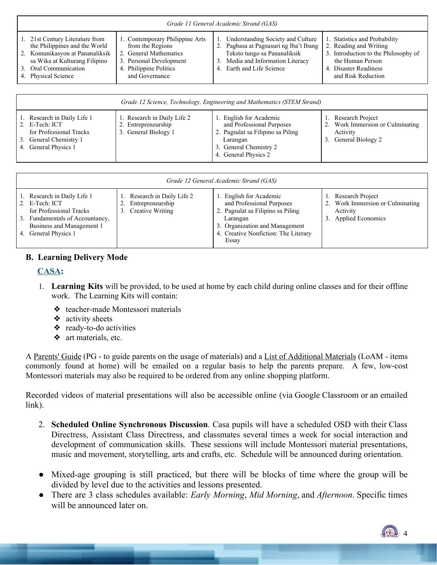| 1. 21st Century Literature from<br>1. Statistics and Probability<br>1. Contemporary Philippine Arts<br>Understanding Society and Culture<br>the Philippines and the World<br>from the Regions<br>2. Pagbasa at Pagsusuri ng Iba't Ibang<br>2. Reading and Writing<br>2. Komunikasyon at Pananaliksik<br>2. General Mathematics<br>Teksto tungo sa Pananaliksik | Grade 11 General Academic Strand (GAS) |                         |                                   |                                                          |  |
|----------------------------------------------------------------------------------------------------------------------------------------------------------------------------------------------------------------------------------------------------------------------------------------------------------------------------------------------------------------|----------------------------------------|-------------------------|-----------------------------------|----------------------------------------------------------|--|
| 4. Philippine Politics<br>4. Earth and Life Science<br>3. Oral Communication<br>4. Disaster Readiness<br>4. Physical Science<br>and Governance<br>and Risk Reduction                                                                                                                                                                                           | sa Wika at Kulturang Filipino          | 3. Personal Development | 3. Media and Information Literacy | 3. Introduction to the Philosophy of<br>the Human Person |  |

| Grade 12 Science, Technology, Engineering and Mathematics (STEM Strand)                                                    |                                                                            |                                                                                                                                                        |                                                                                          |  |
|----------------------------------------------------------------------------------------------------------------------------|----------------------------------------------------------------------------|--------------------------------------------------------------------------------------------------------------------------------------------------------|------------------------------------------------------------------------------------------|--|
| 1. Research in Daily Life 1<br>2. E-Tech: ICT<br>for Professional Tracks<br>3. General Chemistry 1<br>4. General Physics 1 | 1. Research in Daily Life 2<br>2. Entrepreneurship<br>3. General Biology 1 | . English for Academic<br>and Professional Purposes<br>2. Pagsulat sa Filipino sa Piling<br>Larangan<br>3. General Chemistry 2<br>4. General Physics 2 | Research Project<br>2. Work Immersion or Culminating<br>Activity<br>3. General Biology 2 |  |

| Grade 12 General Academic Strand (GAS)                                                                                                                           |                                                                     |                                                                                                                                                                                          |                                                                                          |  |
|------------------------------------------------------------------------------------------------------------------------------------------------------------------|---------------------------------------------------------------------|------------------------------------------------------------------------------------------------------------------------------------------------------------------------------------------|------------------------------------------------------------------------------------------|--|
| 1. Research in Daily Life 1<br>2. E-Tech: ICT<br>for Professional Tracks<br>3. Fundamentals of Accountancy,<br>Business and Management 1<br>4. General Physics 1 | Research in Daily Life 2<br>Entrepreneurship<br>3. Creative Writing | 1. English for Academic<br>and Professional Purposes<br>2. Pagsulat sa Filipino sa Piling<br>Larangan<br>3. Organization and Management<br>4. Creative Nonfiction: The Literary<br>Essay | 1. Research Project<br>Work Immersion or Culminating<br>Activity<br>3. Applied Economics |  |

#### **B. Learning Delivery Mode**

## **CASA:**

- 1. **Learning Kits** will be provided, to be used at home by each child during online classes and for their offline work. The Learning Kits will contain:
	- ❖ teacher-made Montessori materials
	- $\triangleleft$  activity sheets
	- ❖ ready-to-do activities
	- ❖ art materials, etc.

A <u>Parents' Guide</u> (PG - to guide parents on the usage of materials) and a List of Additional Materials (LoAM - items commonly found at home) will be emailed on a regular basis to help the parents prepare. A few, low-cost Montessori materials may also be required to be ordered from any online shopping platform.

Recorded videos of material presentations will also be accessible online (via Google Classroom or an emailed link).

- 2. **Scheduled Online Synchronous Discussion**. Casa pupils will have a scheduled OSD with their Class Directress, Assistant Class Directress, and classmates several times a week for social interaction and development of communication skills. These sessions will include Montessori material presentations, music and movement, storytelling, arts and crafts, etc. Schedule will be announced during orientation.
- Mixed-age grouping is still practiced, but there will be blocks of time where the group will be divided by level due to the activities and lessons presented.
- There are 3 class schedules available: *Early Morning*, *Mid Morning*, and *Afternoon*. Specific times will be announced later on.

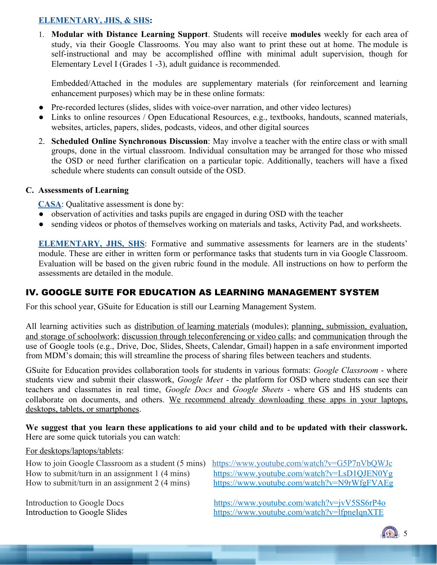## **ELEMENTARY, JHS, & SHS:**

1. **Modular with Distance Learning Support**. Students will receive **modules** weekly for each area of study, via their Google Classrooms. You may also want to print these out at home. The module is self-instructional and may be accomplished offline with minimal adult supervision, though for Elementary Level I (Grades 1 -3), adult guidance is recommended.

Embedded/Attached in the modules are supplementary materials (for reinforcement and learning enhancement purposes) which may be in these online formats:

- Pre-recorded lectures (slides, slides with voice-over narration, and other video lectures)
- Links to online resources / Open Educational Resources, e.g., textbooks, handouts, scanned materials, websites, articles, papers, slides, podcasts, videos, and other digital sources
- 2. **Scheduled Online Synchronous Discussion**: May involve a teacher with the entire class or with small groups, done in the virtual classroom. Individual consultation may be arranged for those who missed the OSD or need further clarification on a particular topic. Additionally, teachers will have a fixed schedule where students can consult outside of the OSD.

# **C. Assessments of Learning**

**CASA**: Qualitative assessment is done by:

- observation of activities and tasks pupils are engaged in during OSD with the teacher
- sending videos or photos of themselves working on materials and tasks, Activity Pad, and worksheets.

**ELEMENTARY, JHS, SHS**: Formative and summative assessments for learners are in the students' module. These are either in written form or performance tasks that students turn in via Google Classroom. Evaluation will be based on the given rubric found in the module. All instructions on how to perform the assessments are detailed in the module.

# IV. GOOGLE SUITE FOR EDUCATION AS LEARNING MANAGEMENT SYSTEM

For this school year, GSuite for Education is still our Learning Management System.

All learning activities such as distribution of learning materials (modules); planning, submission, evaluation, and storage of schoolwork; discussion through teleconferencing or video calls; and communication through the use of Google tools (e.g., Drive, Doc, Slides, Sheets, Calendar, Gmail) happen in a safe environment imported from MDM's domain; this will streamline the process of sharing files between teachers and students.

GSuite for Education provides collaboration tools for students in various formats: *Google Classroom* - where students view and submit their classwork, *Google Meet* - the platform for OSD where students can see their teachers and classmates in real time, *Google Docs* and *Google Sheets* - where GS and HS students can collaborate on documents, and others. We recommend already downloading these apps in your laptops, desktops, tablets, or smartphones.

We suggest that you learn these applications to aid your child and to be updated with their classwork. Here are some quick tutorials you can watch:

#### For desktops/laptops/tablets:

How to join Google Classroom as a student (5 mins[\) https://www.youtube.com/watch?v=G5P7nVbQWJc](https://www.youtube.com/watch?v=G5P7nVbQWJc)

How to submit/turn in an assignment 1 (4 mins) <https://www.youtube.com/watch?v=LsD1QJEN0Yg> How to submit/turn in an assignment 2 (4 mins) <https://www.youtube.com/watch?v=N9rWfgFVAEg>

Introduction to Google Docs<br>
Introduction to Google Slides<br> <https://www.youtube.com/watch?v=jvV5SS6rP4o><br>
https://www.youtube.com/watch?v=lfpneIqnXTE <https://www.youtube.com/watch?v=lfpneIqnXTE>

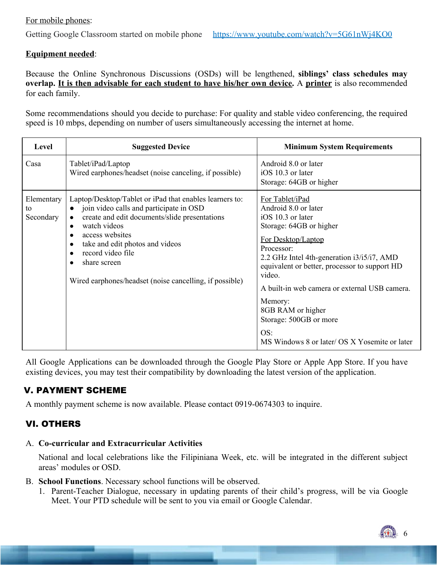## For mobile phones:

### **Equipment needed**:

Because the Online Synchronous Discussions (OSDs) will be lengthened, **siblings' class schedules may overlap. It is then advisable for each student to have his/her own device.** A **printer** is also recommended for each family.

Some recommendations should you decide to purchase: For quality and stable video conferencing, the required speed is 10 mbps, depending on number of users simultaneously accessing the internet at home.

| Level                         | <b>Suggested Device</b>                                                                                                                                                                                                                                                                                                                                                                                              | <b>Minimum System Requirements</b>                                                                                                                                                                                                                                                                                                                                                                      |
|-------------------------------|----------------------------------------------------------------------------------------------------------------------------------------------------------------------------------------------------------------------------------------------------------------------------------------------------------------------------------------------------------------------------------------------------------------------|---------------------------------------------------------------------------------------------------------------------------------------------------------------------------------------------------------------------------------------------------------------------------------------------------------------------------------------------------------------------------------------------------------|
| Casa                          | Tablet/iPad/Laptop<br>Wired earphones/headset (noise canceling, if possible)                                                                                                                                                                                                                                                                                                                                         | Android 8.0 or later<br>iOS 10.3 or later<br>Storage: 64GB or higher                                                                                                                                                                                                                                                                                                                                    |
| Elementary<br>to<br>Secondary | Laptop/Desktop/Tablet or iPad that enables learners to:<br>join video calls and participate in OSD<br>$\bullet$<br>create and edit documents/slide presentations<br>$\bullet$<br>watch videos<br>$\bullet$<br>access websites<br>$\bullet$<br>take and edit photos and videos<br>$\bullet$<br>record video file<br>$\bullet$<br>share screen<br>$\bullet$<br>Wired earphones/headset (noise cancelling, if possible) | For Tablet/iPad<br>Android 8.0 or later<br>iOS 10.3 or later<br>Storage: 64GB or higher<br>For Desktop/Laptop<br>Processor:<br>2.2 GHz Intel 4th-generation i3/i5/i7, AMD<br>equivalent or better, processor to support HD<br>video.<br>A built-in web camera or external USB camera.<br>Memory:<br>8GB RAM or higher<br>Storage: 500GB or more<br>OS:<br>MS Windows 8 or later/ OS X Yosemite or later |

All Google Applications can be downloaded through the Google Play Store or Apple App Store. If you have existing devices, you may test their compatibility by downloading the latest version of the application.

# V. PAYMENT SCHEME

A monthly payment scheme is now available. Please contact 0919-0674303 to inquire.

# VI. OTHERS

## A. **Co-curricular and Extracurricular Activities**

 National and local celebrations like the Filipiniana Week, etc. will be integrated in the different subject areas' modules or OSD.

- B. **School Functions**. Necessary school functions will be observed.
	- 1. Parent-Teacher Dialogue, necessary in updating parents of their child's progress, will be via Google Meet. Your PTD schedule will be sent to you via email or Google Calendar.